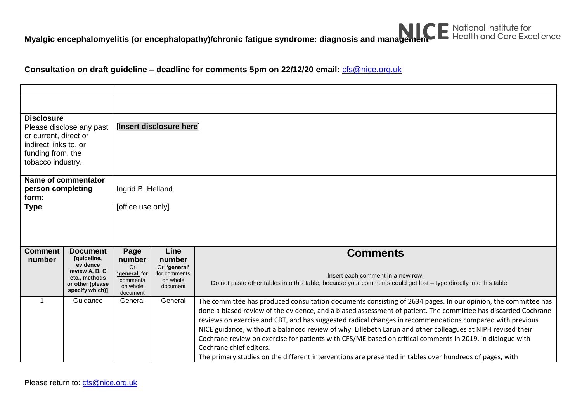

**Myalgic encephalomyelitis (or encephalopathy)/chronic fatigue syndrome: diagnosis and management E National Institute for Apple Department Core Excellence** 

## **Consultation on draft guideline – deadline for comments 5pm on 22/12/20 email:** [cfs@nice.org.uk](mailto:cfs@nice.org.uk)

| <b>Disclosure</b><br>Please disclose any past<br>or current, direct or<br>indirect links to, or<br>funding from, the<br>tobacco industry. |                                                                                                                      | [Insert disclosure here]                                                         |                                                                        |                                                                                                                                                                                                                                                                                                                                                                                                                                                                                                                                                                                                                                                                                                               |  |  |  |  |
|-------------------------------------------------------------------------------------------------------------------------------------------|----------------------------------------------------------------------------------------------------------------------|----------------------------------------------------------------------------------|------------------------------------------------------------------------|---------------------------------------------------------------------------------------------------------------------------------------------------------------------------------------------------------------------------------------------------------------------------------------------------------------------------------------------------------------------------------------------------------------------------------------------------------------------------------------------------------------------------------------------------------------------------------------------------------------------------------------------------------------------------------------------------------------|--|--|--|--|
| Name of commentator<br>person completing<br>form:                                                                                         |                                                                                                                      | Ingrid B. Helland                                                                |                                                                        |                                                                                                                                                                                                                                                                                                                                                                                                                                                                                                                                                                                                                                                                                                               |  |  |  |  |
| <b>Type</b>                                                                                                                               |                                                                                                                      | [office use only]                                                                |                                                                        |                                                                                                                                                                                                                                                                                                                                                                                                                                                                                                                                                                                                                                                                                                               |  |  |  |  |
| <b>Comment</b><br>number                                                                                                                  | <b>Document</b><br>[quideline,<br>evidence<br>review A, B, C<br>etc., methods<br>or other (please<br>specify which)] | Page<br>number<br><b>Or</b><br>'general' for<br>comments<br>on whole<br>document | Line<br>number<br>Or 'general'<br>for comments<br>on whole<br>document | <b>Comments</b><br>Insert each comment in a new row.<br>Do not paste other tables into this table, because your comments could get lost - type directly into this table.                                                                                                                                                                                                                                                                                                                                                                                                                                                                                                                                      |  |  |  |  |
|                                                                                                                                           | Guidance                                                                                                             | General                                                                          | General                                                                | The committee has produced consultation documents consisting of 2634 pages. In our opinion, the committee has<br>done a biased review of the evidence, and a biased assessment of patient. The committee has discarded Cochrane<br>reviews on exercise and CBT, and has suggested radical changes in recommendations compared with previous<br>NICE guidance, without a balanced review of why. Lillebeth Larun and other colleagues at NIPH revised their<br>Cochrane review on exercise for patients with CFS/ME based on critical comments in 2019, in dialogue with<br>Cochrane chief editors.<br>The primary studies on the different interventions are presented in tables over hundreds of pages, with |  |  |  |  |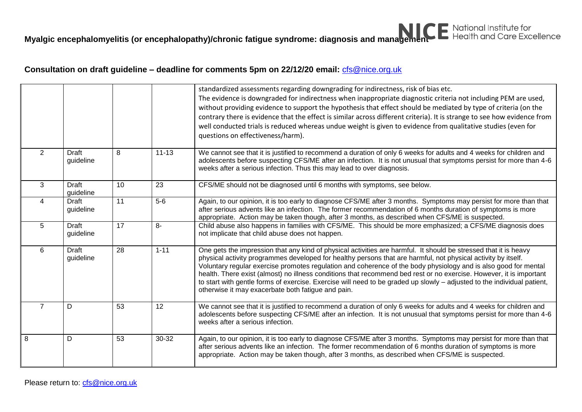**Myalgic encephalomyelitis (or encephalopathy)/chronic fatigue syndrome: diagnosis and management E National Institute for Apple Department Core Excellence** 

## **Consultation on draft guideline – deadline for comments 5pm on 22/12/20 email:** [cfs@nice.org.uk](mailto:cfs@nice.org.uk)

|                |                           |                 |           | standardized assessments regarding downgrading for indirectness, risk of bias etc.<br>The evidence is downgraded for indirectness when inappropriate diagnostic criteria not including PEM are used,<br>without providing evidence to support the hypothesis that effect should be mediated by type of criteria (on the<br>contrary there is evidence that the effect is similar across different criteria). It is strange to see how evidence from<br>well conducted trials is reduced whereas undue weight is given to evidence from qualitative studies (even for<br>questions on effectiveness/harm).                                                    |
|----------------|---------------------------|-----------------|-----------|--------------------------------------------------------------------------------------------------------------------------------------------------------------------------------------------------------------------------------------------------------------------------------------------------------------------------------------------------------------------------------------------------------------------------------------------------------------------------------------------------------------------------------------------------------------------------------------------------------------------------------------------------------------|
| $\overline{2}$ | <b>Draft</b><br>guideline | 8               | $11 - 13$ | We cannot see that it is justified to recommend a duration of only 6 weeks for adults and 4 weeks for children and<br>adolescents before suspecting CFS/ME after an infection. It is not unusual that symptoms persist for more than 4-6<br>weeks after a serious infection. Thus this may lead to over diagnosis.                                                                                                                                                                                                                                                                                                                                           |
| 3              | <b>Draft</b><br>guideline | 10              | 23        | CFS/ME should not be diagnosed until 6 months with symptoms, see below.                                                                                                                                                                                                                                                                                                                                                                                                                                                                                                                                                                                      |
| 4              | <b>Draft</b><br>guideline | $\overline{11}$ | $5-6$     | Again, to our opinion, it is too early to diagnose CFS/ME after 3 months. Symptoms may persist for more than that<br>after serious advents like an infection. The former recommendation of 6 months duration of symptoms is more<br>appropriate. Action may be taken though, after 3 months, as described when CFS/ME is suspected.                                                                                                                                                                                                                                                                                                                          |
| 5              | <b>Draft</b><br>guideline | 17              | $8-$      | Child abuse also happens in families with CFS/ME. This should be more emphasized; a CFS/ME diagnosis does<br>not implicate that child abuse does not happen.                                                                                                                                                                                                                                                                                                                                                                                                                                                                                                 |
| 6              | <b>Draft</b><br>guideline | 28              | $1 - 11$  | One gets the impression that any kind of physical activities are harmful. It should be stressed that it is heavy<br>physical activity programmes developed for healthy persons that are harmful, not physical activity by itself.<br>Voluntary regular exercise promotes regulation and coherence of the body physiology and is also good for mental<br>health. There exist (almost) no illness conditions that recommend bed rest or no exercise. However, it is important<br>to start with gentle forms of exercise. Exercise will need to be graded up slowly - adjusted to the individual patient,<br>otherwise it may exacerbate both fatigue and pain. |
| $\overline{7}$ | D                         | 53              | 12        | We cannot see that it is justified to recommend a duration of only 6 weeks for adults and 4 weeks for children and<br>adolescents before suspecting CFS/ME after an infection. It is not unusual that symptoms persist for more than 4-6<br>weeks after a serious infection.                                                                                                                                                                                                                                                                                                                                                                                 |
| 8              | D                         | 53              | 30-32     | Again, to our opinion, it is too early to diagnose CFS/ME after 3 months. Symptoms may persist for more than that<br>after serious advents like an infection. The former recommendation of 6 months duration of symptoms is more<br>appropriate. Action may be taken though, after 3 months, as described when CFS/ME is suspected.                                                                                                                                                                                                                                                                                                                          |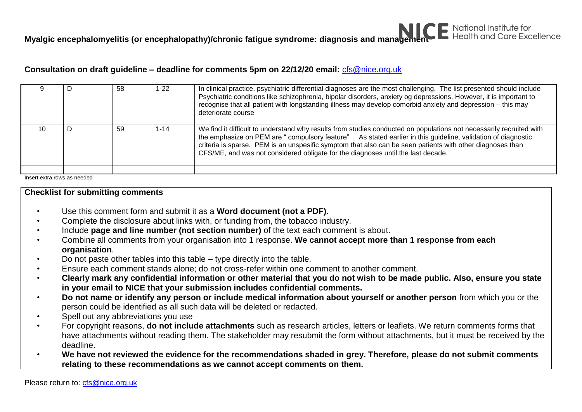### **Consultation on draft guideline – deadline for comments 5pm on 22/12/20 email:** [cfs@nice.org.uk](mailto:cfs@nice.org.uk)

|    |   | 58 | 1-22     | In clinical practice, psychiatric differential diagnoses are the most challenging. The list presented should include<br>Psychiatric conditions like schizophrenia, bipolar disorders, anxiety og depressions. However, it is important to<br>recognise that all patient with longstanding illness may develop comorbid anxiety and depression - this may<br>deteriorate course                                                       |
|----|---|----|----------|--------------------------------------------------------------------------------------------------------------------------------------------------------------------------------------------------------------------------------------------------------------------------------------------------------------------------------------------------------------------------------------------------------------------------------------|
| 10 | D | 59 | $1 - 14$ | We find it difficult to understand why results from studies conducted on populations not necessarily recruited with<br>the emphasize on PEM are "compulsory feature". As stated earlier in this guideline, validation of diagnostic<br>criteria is sparse. PEM is an unspesific symptom that also can be seen patients with other diagnoses than<br>CFS/ME, and was not considered obligate for the diagnoses until the last decade. |
|    |   |    |          |                                                                                                                                                                                                                                                                                                                                                                                                                                      |

Insert extra rows as needed

#### **Checklist for submitting comments**

- Use this comment form and submit it as a **Word document (not a PDF)**.
- Complete the disclosure about links with, or funding from, the tobacco industry.
- Include **page and line number (not section number)** of the text each comment is about.
- Combine all comments from your organisation into 1 response. **We cannot accept more than 1 response from each organisation**.
- Do not paste other tables into this table type directly into the table.
- Ensure each comment stands alone; do not cross-refer within one comment to another comment.
- **Clearly mark any confidential information or other material that you do not wish to be made public. Also, ensure you state in your email to NICE that your submission includes confidential comments.**
- **Do not name or identify any person or include medical information about yourself or another person** from which you or the person could be identified as all such data will be deleted or redacted.
- Spell out any abbreviations you use
- For copyright reasons, **do not include attachments** such as research articles, letters or leaflets. We return comments forms that have attachments without reading them. The stakeholder may resubmit the form without attachments, but it must be received by the deadline.
- **We have not reviewed the evidence for the recommendations shaded in grey. Therefore, please do not submit comments relating to these recommendations as we cannot accept comments on them.**